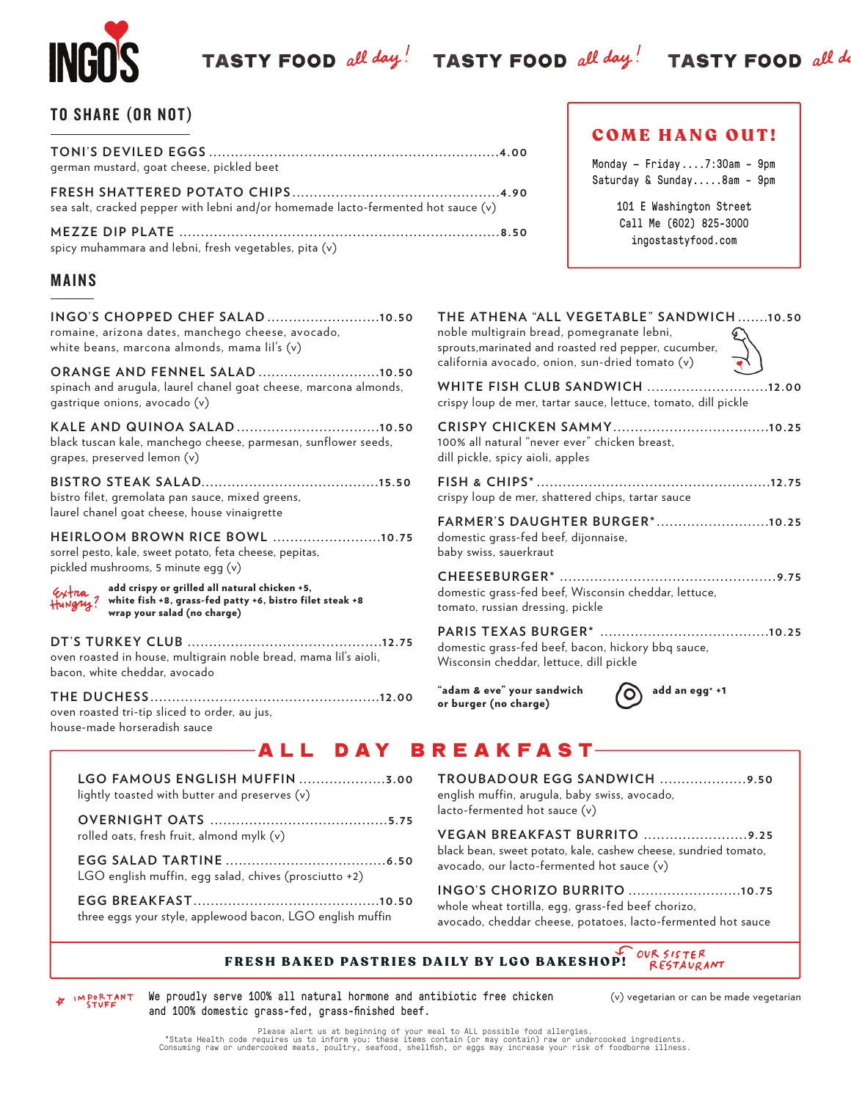TASTY FOOD all day! TASTY FOOD all day! TASTY FOOD all do

## TO SHARE (OR NOT)

| german mustard, goat cheese, pickled beet                                         |  |
|-----------------------------------------------------------------------------------|--|
| sea salt, cracked pepper with lebni and/or homemade lacto-fermented hot sauce (v) |  |
|                                                                                   |  |

spicy muhammara and lebni, fresh vegetables, pita (v)

## MAINS

| INGO'S CHOPPED CHEF SALAD10.50<br>romaine, arizona dates, manchego cheese, avocado,<br>white beans, marcona almonds, mama lil's (v)                          |
|--------------------------------------------------------------------------------------------------------------------------------------------------------------|
| <b>ORANGE AND FENNEL SALAD 10.50</b><br>spinach and arugula, laurel chanel goat cheese, marcona almonds,<br>gastrique onions, avocado (v)                    |
| black tuscan kale, manchego cheese, parmesan, sunflower seeds,<br>grapes, preserved lemon (v)                                                                |
| bistro filet, gremolata pan sauce, mixed greens,<br>laurel chanel goat cheese, house vinaigrette                                                             |
| HEIRLOOM BROWN RICE BOWL 10.75<br>sorrel pesto, kale, sweet potato, feta cheese, pepitas,<br>pickled mushrooms, 5 minute egg (v)                             |
| add crispy or grilled all natural chicken +5,<br>Extra<br>Hungry?<br>white fish +8, grass-fed patty +6, bistro filet steak +8<br>wrap your salad (no charge) |
| oven roasted in house, multigrain noble bread, mama lil's aioli,<br>bacon, white cheddar, avocado                                                            |
| oven roasted tri-tip sliced to order, au jus,<br>house-made horseradish sauce                                                                                |
| AII RAV R                                                                                                                                                    |

## 101 E Washington Street Call Me (602) 825-3000 ingostastyfood.com

COME HANG OUT!

Monday — Friday ....7:30am – 9pm Saturday & Sunday.....8am – 9pm

| THE ATHENA "ALL VEGETABLE" SANDWICH10.50<br>noble multigrain bread, pomegranate lebni,<br>sprouts, marinated and roasted red pepper, cucumber,<br>california avocado, onion, sun-dried tomato (v) |
|---------------------------------------------------------------------------------------------------------------------------------------------------------------------------------------------------|
| <b>WHITE FISH CLUB SANDWICH 12.00</b><br>crispy loup de mer, tartar sauce, lettuce, tomato, dill pickle                                                                                           |
| 100% all natural "never ever" chicken breast,<br>dill pickle, spicy aioli, apples                                                                                                                 |
| crispy loup de mer, shattered chips, tartar sauce                                                                                                                                                 |
| FARMER'S DAUGHTER BURGER*10.25<br>domestic grass-fed beef, dijonnaise,<br>baby swiss, sauerkraut                                                                                                  |
| domestic grass-fed beef, Wisconsin cheddar, lettuce,<br>tomato, russian dressing, pickle                                                                                                          |
| domestic grass-fed beef, bacon, hickory bbq sauce,<br>Wisconsin cheddar, lettuce, dill pickle                                                                                                     |
| "adam & eve" your sandwich<br>add an egg* +1<br>or burger (no charge)                                                                                                                             |

# **BREAKFAST**

| lightly toasted with butter and preserves (v)              |
|------------------------------------------------------------|
| rolled oats, fresh fruit, almond mylk (v)                  |
| LGO english muffin, egg salad, chives (prosciutto +2)      |
| three eggs your style, applewood bacon, LGO english muffin |

**TROUBADOUR EGG SANDWICH ....................9.50** english muffin, arugula, baby swiss, avocado, lacto-fermented hot sauce (v)

**VEGAN BREAKFAST BURRITO ........................9. 25** black bean, sweet potato, kale, cashew cheese, sundried tomato, avocado, our lacto-fermented hot sauce (v)

**INGO'S CHORIZO BURRITO ..........................10.75** whole wheat tortilla, egg, grass-fed beef chorizo, avocado, cheddar cheese, potatoes, lacto-fermented hot sauce

### OUR SISTER FRESH BAKED PASTRIES DAILY BY LGO BAKESHOP! RESTAURANT

IMPORTANT We proudly serve 100% all natural hormone and antibiotic free chicken and 100% domestic grass-fed, grass-finished beef.

(v) vegetarian or can be made vegetarian

Please alert us at beginning of your meal to ALL possible food allergies.<br>State Health code requires us to inform you: these items contain (or may contain) raw or undercooked ingredients.<br>Consuming raw or undercooked meats